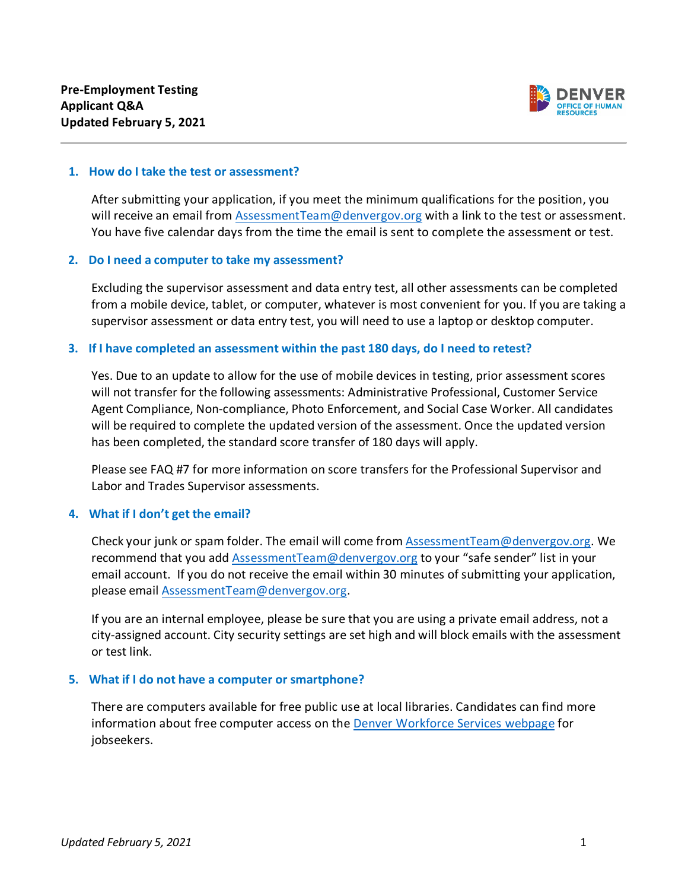

#### **1. How do I take the test or assessment?**

After submitting your application, if you meet the minimum qualifications for the position, you will receive an email from [AssessmentTeam@denvergov.org](mailto:AssessmentTeam@denvergov.org) with a link to the test or assessment. You have five calendar days from the time the email is sent to complete the assessment or test.

#### **2. Do I need a computer to take my assessment?**

Excluding the supervisor assessment and data entry test, all other assessments can be completed from a mobile device, tablet, or computer, whatever is most convenient for you. If you are taking a supervisor assessment or data entry test, you will need to use a laptop or desktop computer.

## **3. If I have completed an assessment within the past 180 days, do I need to retest?**

Yes. Due to an update to allow for the use of mobile devices in testing, prior assessment scores will not transfer for the following assessments: Administrative Professional, Customer Service Agent Compliance, Non-compliance, Photo Enforcement, and Social Case Worker. All candidates will be required to complete the updated version of the assessment. Once the updated version has been completed, the standard score transfer of 180 days will apply.

Please see FAQ #7 for more information on score transfers for the Professional Supervisor and Labor and Trades Supervisor assessments.

## **4. What if I don't get the email?**

Check your junk or spam folder. The email will come from [AssessmentTeam@denvergov.org.](mailto:AssessmentTeam@denvergov.org) We recommend that you add [AssessmentTeam@denvergov.org](mailto:AssessmentTeam@denvergov.org) to your "safe sender" list in your email account. If you do not receive the email within 30 minutes of submitting your application, please email [AssessmentTeam@denvergov.org.](mailto:AssessmentTeam@denvergov.org)

If you are an internal employee, please be sure that you are using a private email address, not a city-assigned account. City security settings are set high and will block emails with the assessment or test link.

#### **5. What if I do not have a computer or smartphone?**

There are computers available for free public use at local libraries. Candidates can find more information about free computer access on the [Denver Workforce Services webpage](https://www.denvergov.org/Government/Departments/Economic-Development-Opportunity/Jobs-and-Employers/For-Jobseekers) for jobseekers.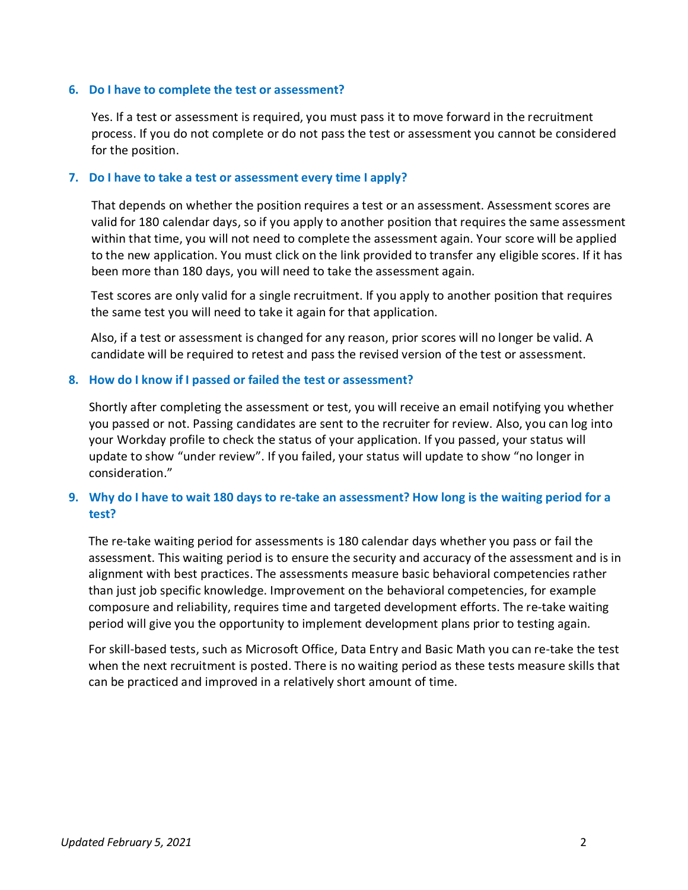## **6. Do I have to complete the test or assessment?**

Yes. If a test or assessment is required, you must pass it to move forward in the recruitment process. If you do not complete or do not pass the test or assessment you cannot be considered for the position.

### **7. Do I have to take a test or assessment every time I apply?**

That depends on whether the position requires a test or an assessment. Assessment scores are valid for 180 calendar days, so if you apply to another position that requires the same assessment within that time, you will not need to complete the assessment again. Your score will be applied to the new application. You must click on the link provided to transfer any eligible scores. If it has been more than 180 days, you will need to take the assessment again.

Test scores are only valid for a single recruitment. If you apply to another position that requires the same test you will need to take it again for that application.

Also, if a test or assessment is changed for any reason, prior scores will no longer be valid. A candidate will be required to retest and pass the revised version of the test or assessment.

#### **8. How do I know if I passed or failed the test or assessment?**

Shortly after completing the assessment or test, you will receive an email notifying you whether you passed or not. Passing candidates are sent to the recruiter for review. Also, you can log into your Workday profile to check the status of your application. If you passed, your status will update to show "under review". If you failed, your status will update to show "no longer in consideration."

# **9. Why do I have to wait 180 days to re-take an assessment? How long is the waiting period for a test?**

The re-take waiting period for assessments is 180 calendar days whether you pass or fail the assessment. This waiting period is to ensure the security and accuracy of the assessment and is in alignment with best practices. The assessments measure basic behavioral competencies rather than just job specific knowledge. Improvement on the behavioral competencies, for example composure and reliability, requires time and targeted development efforts. The re-take waiting period will give you the opportunity to implement development plans prior to testing again.

For skill-based tests, such as Microsoft Office, Data Entry and Basic Math you can re-take the test when the next recruitment is posted. There is no waiting period as these tests measure skills that can be practiced and improved in a relatively short amount of time.